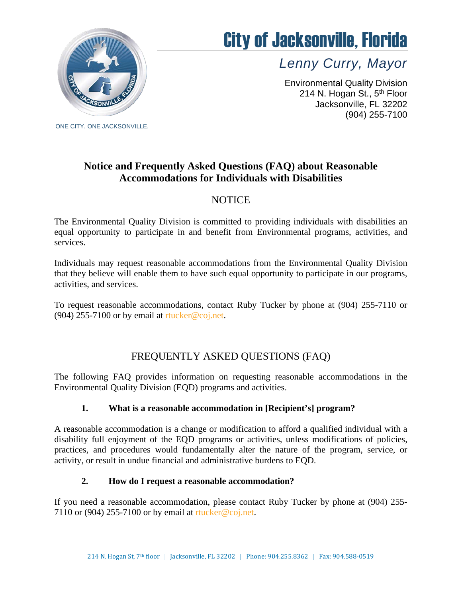

# City of Jacksonville, Florida

*Lenny Curry, Mayor*

Environmental Quality Division 214 N. Hogan St., 5<sup>th</sup> Floor Jacksonville, FL 32202 (904) 255-7100

# **Notice and Frequently Asked Questions (FAQ) about Reasonable Accommodations for Individuals with Disabilities**

# NOTICE

The Environmental Quality Division is committed to providing individuals with disabilities an equal opportunity to participate in and benefit from Environmental programs, activities, and services.

Individuals may request reasonable accommodations from the Environmental Quality Division that they believe will enable them to have such equal opportunity to participate in our programs, activities, and services.

To request reasonable accommodations, contact Ruby Tucker by phone at (904) 255-7110 or (904) 255-7100 or by email at  $rtucker@coj.net$ .

# FREQUENTLY ASKED QUESTIONS (FAQ)

The following FAQ provides information on requesting reasonable accommodations in the Environmental Quality Division (EQD) programs and activities.

## **1. What is a reasonable accommodation in [Recipient's] program?**

A reasonable accommodation is a change or modification to afford a qualified individual with a disability full enjoyment of the EQD programs or activities, unless modifications of policies, practices, and procedures would fundamentally alter the nature of the program, service, or activity, or result in undue financial and administrative burdens to EQD.

#### **2. How do I request a reasonable accommodation?**

If you need a reasonable accommodation, please contact Ruby Tucker by phone at (904) 255- 7110 or (904) 255-7100 or by email at [rtucker@coj.net.](mailto:rtucker@coj.net)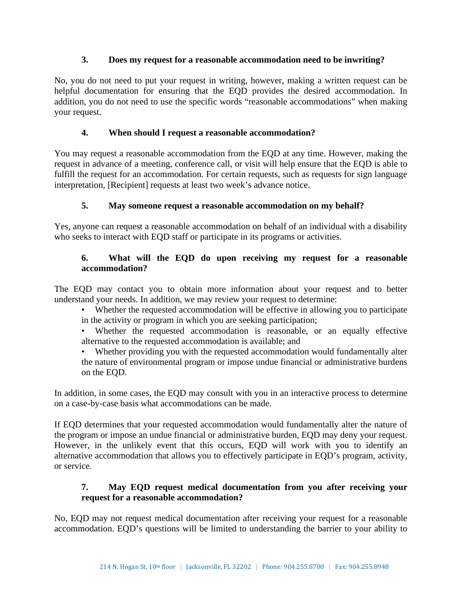#### **3. Does my request for a reasonable accommodation need to be inwriting?**

No, you do not need to put your request in writing, however, making a written request can be helpful documentation for ensuring that the EQD provides the desired accommodation. In addition, you do not need to use the specific words "reasonable accommodations" when making your request.

## **4. When should I request a reasonable accommodation?**

You may request a reasonable accommodation from the EQD at any time. However, making the request in advance of a meeting, conference call, or visit will help ensure that the EQD is able to fulfill the request for an accommodation. For certain requests, such as requests for sign language interpretation, [Recipient] requests at least two week's advance notice.

## **5. May someone request a reasonable accommodation on my behalf?**

Yes, anyone can request a reasonable accommodation on behalf of an individual with a disability who seeks to interact with EQD staff or participate in its programs or activities.

### **6. What will the EQD do upon receiving my request for a reasonable accommodation?**

The EQD may contact you to obtain more information about your request and to better understand your needs. In addition, we may review your request to determine:

- Whether the requested accommodation will be effective in allowing you to participate in the activity or program in which you are seeking participation;
- Whether the requested accommodation is reasonable, or an equally effective alternative to the requested accommodation is available; and
- Whether providing you with the requested accommodation would fundamentally alter the nature of environmental program or impose undue financial or administrative burdens on the EQD.

In addition, in some cases, the EQD may consult with you in an interactive process to determine on a case-by-case basis what accommodations can be made.

If EQD determines that your requested accommodation would fundamentally alter the nature of the program or impose an undue financial or administrative burden, EQD may deny your request. However, in the unlikely event that this occurs, EQD will work with you to identify an alternative accommodation that allows you to effectively participate in EQD's program, activity, or service.

#### **7. May EQD request medical documentation from you after receiving your request for a reasonable accommodation?**

No, EQD may not request medical documentation after receiving your request for a reasonable accommodation. EQD's questions will be limited to understanding the barrier to your ability to